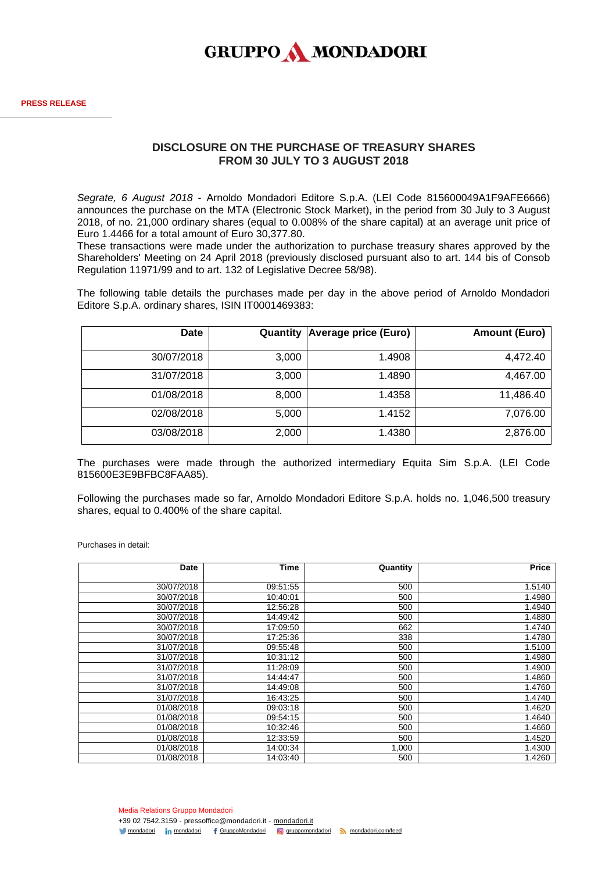

## **DISCLOSURE ON THE PURCHASE OF TREASURY SHARES FROM 30 JULY TO 3 AUGUST 2018**

*Segrate, 6 August 2018* - Arnoldo Mondadori Editore S.p.A. (LEI Code 815600049A1F9AFE6666) announces the purchase on the MTA (Electronic Stock Market), in the period from 30 July to 3 August 2018, of no. 21,000 ordinary shares (equal to 0.008% of the share capital) at an average unit price of Euro 1.4466 for a total amount of Euro 30,377.80.

These transactions were made under the authorization to purchase treasury shares approved by the Shareholders' Meeting on 24 April 2018 (previously disclosed pursuant also to art. 144 bis of Consob Regulation 11971/99 and to art. 132 of Legislative Decree 58/98).

The following table details the purchases made per day in the above period of Arnoldo Mondadori Editore S.p.A. ordinary shares, ISIN IT0001469383:

| <b>Date</b> | Quantity | <b>Average price (Euro)</b> | <b>Amount (Euro)</b> |
|-------------|----------|-----------------------------|----------------------|
| 30/07/2018  | 3,000    | 1.4908                      | 4,472.40             |
| 31/07/2018  | 3,000    | 1.4890                      | 4,467.00             |
| 01/08/2018  | 8,000    | 1.4358                      | 11,486.40            |
| 02/08/2018  | 5,000    | 1.4152                      | 7,076.00             |
| 03/08/2018  | 2,000    | 1.4380                      | 2,876.00             |

The purchases were made through the authorized intermediary Equita Sim S.p.A. (LEI Code 815600E3E9BFBC8FAA85).

Following the purchases made so far, Arnoldo Mondadori Editore S.p.A. holds no. 1,046,500 treasury shares, equal to 0.400% of the share capital.

Purchases in detail:

| Date       | Time     | Quantity | <b>Price</b> |
|------------|----------|----------|--------------|
|            |          |          |              |
| 30/07/2018 | 09:51:55 | 500      | 1.5140       |
| 30/07/2018 | 10:40:01 | 500      | 1.4980       |
| 30/07/2018 | 12:56:28 | 500      | 1.4940       |
| 30/07/2018 | 14:49:42 | 500      | 1.4880       |
| 30/07/2018 | 17:09:50 | 662      | 1.4740       |
| 30/07/2018 | 17:25:36 | 338      | 1.4780       |
| 31/07/2018 | 09:55:48 | 500      | 1.5100       |
| 31/07/2018 | 10:31:12 | 500      | 1.4980       |
| 31/07/2018 | 11:28:09 | 500      | 1.4900       |
| 31/07/2018 | 14:44:47 | 500      | 1.4860       |
| 31/07/2018 | 14:49:08 | 500      | 1.4760       |
| 31/07/2018 | 16:43:25 | 500      | 1.4740       |
| 01/08/2018 | 09:03:18 | 500      | 1.4620       |
| 01/08/2018 | 09:54:15 | 500      | 1.4640       |
| 01/08/2018 | 10:32:46 | 500      | 1.4660       |
| 01/08/2018 | 12:33:59 | 500      | 1.4520       |
| 01/08/2018 | 14:00:34 | 1,000    | 1.4300       |
| 01/08/2018 | 14:03:40 | 500      | 1.4260       |